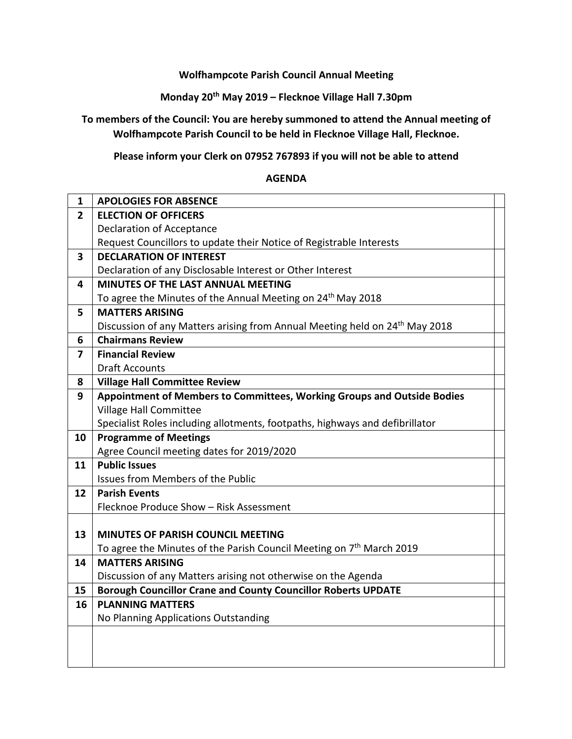**Wolfhampcote Parish Council Annual Meeting**

**Monday 20th May 2019 – Flecknoe Village Hall 7.30pm**

**To members of the Council: You are hereby summoned to attend the Annual meeting of Wolfhampcote Parish Council to be held in Flecknoe Village Hall, Flecknoe.**

**Please inform your Clerk on 07952 767893 if you will not be able to attend**

## **AGENDA**

| $\mathbf{1}$   | <b>APOLOGIES FOR ABSENCE</b>                                                            |
|----------------|-----------------------------------------------------------------------------------------|
| $\overline{2}$ | <b>ELECTION OF OFFICERS</b>                                                             |
|                | <b>Declaration of Acceptance</b>                                                        |
|                | Request Councillors to update their Notice of Registrable Interests                     |
| 3              | <b>DECLARATION OF INTEREST</b>                                                          |
|                | Declaration of any Disclosable Interest or Other Interest                               |
| 4              | <b>MINUTES OF THE LAST ANNUAL MEETING</b>                                               |
|                | To agree the Minutes of the Annual Meeting on 24 <sup>th</sup> May 2018                 |
| 5              | <b>MATTERS ARISING</b>                                                                  |
|                | Discussion of any Matters arising from Annual Meeting held on 24 <sup>th</sup> May 2018 |
| 6              | <b>Chairmans Review</b>                                                                 |
| $\overline{7}$ | <b>Financial Review</b>                                                                 |
|                | <b>Draft Accounts</b>                                                                   |
| 8              | <b>Village Hall Committee Review</b>                                                    |
| 9              | Appointment of Members to Committees, Working Groups and Outside Bodies                 |
|                | <b>Village Hall Committee</b>                                                           |
|                | Specialist Roles including allotments, footpaths, highways and defibrillator            |
|                |                                                                                         |
| 10             | <b>Programme of Meetings</b>                                                            |
|                | Agree Council meeting dates for 2019/2020                                               |
| 11             | <b>Public Issues</b>                                                                    |
|                | Issues from Members of the Public                                                       |
| 12             | <b>Parish Events</b>                                                                    |
|                | Flecknoe Produce Show - Risk Assessment                                                 |
|                |                                                                                         |
| 13             | <b>MINUTES OF PARISH COUNCIL MEETING</b>                                                |
|                | To agree the Minutes of the Parish Council Meeting on 7 <sup>th</sup> March 2019        |
| 14             | <b>MATTERS ARISING</b>                                                                  |
|                | Discussion of any Matters arising not otherwise on the Agenda                           |
| 15             | <b>Borough Councillor Crane and County Councillor Roberts UPDATE</b>                    |
| 16             | <b>PLANNING MATTERS</b>                                                                 |
|                | No Planning Applications Outstanding                                                    |
|                |                                                                                         |
|                |                                                                                         |